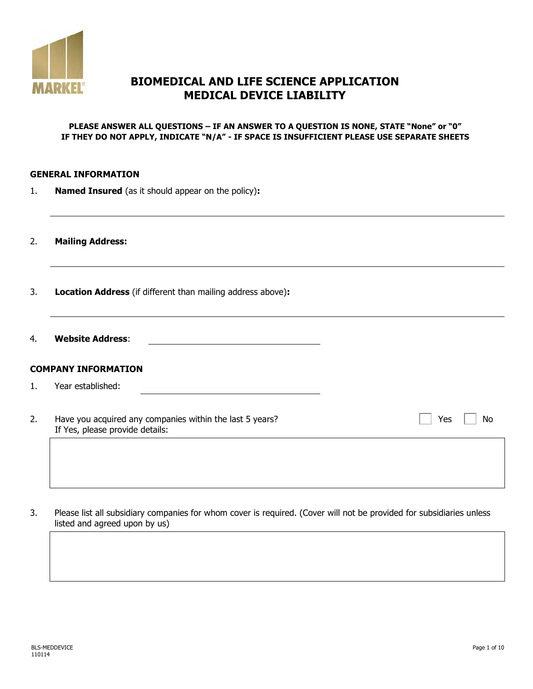

# **BIOMEDICAL AND LIFE SCIENCE APPLICATION MEDICAL DEVICE LIABILITY**

#### **PLEASE ANSWER ALL QUESTIONS – IF AN ANSWER TO A QUESTION IS NONE, STATE "None" or "0" IF THEY DO NOT APPLY, INDICATE "N/A" - IF SPACE IS INSUFFICIENT PLEASE USE SEPARATE SHEETS**

#### **GENERAL INFORMATION**

1. **Named Insured** (as it should appear on the policy)**:**

2. **Mailing Address:**

- 3. **Location Address** (if different than mailing address above)**:**
- 4. **Website Address**:

### **COMPANY INFORMATION**

- 1. Year established:
- 2. Have you acquired any companies within the last 5 years? If Yes, please provide details:

 $Yes \Box No$ 

3. Please list all subsidiary companies for whom cover is required. (Cover will not be provided for subsidiaries unless listed and agreed upon by us)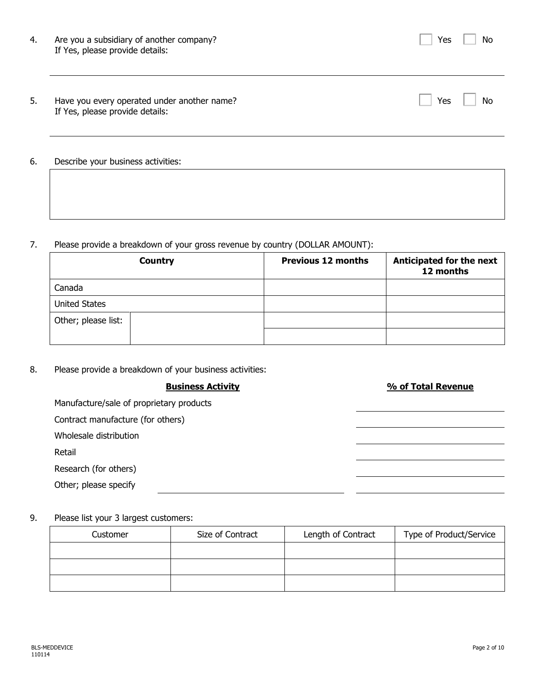| 4. | Are you a subsidiary of another company?<br>If Yes, please provide details:    | No<br>Yes |
|----|--------------------------------------------------------------------------------|-----------|
| 5. | Have you every operated under another name?<br>If Yes, please provide details: | Yes<br>No |
| 6. | Describe your business activities:                                             |           |

## 7. Please provide a breakdown of your gross revenue by country (DOLLAR AMOUNT):

|                      | <b>Country</b> | <b>Previous 12 months</b> | Anticipated for the next<br>12 months |
|----------------------|----------------|---------------------------|---------------------------------------|
| Canada               |                |                           |                                       |
| <b>United States</b> |                |                           |                                       |
| Other; please list:  |                |                           |                                       |
|                      |                |                           |                                       |

8. Please provide a breakdown of your business activities:

| <b>Business Activity</b>                 | % of Total Revenue |
|------------------------------------------|--------------------|
| Manufacture/sale of proprietary products |                    |
| Contract manufacture (for others)        |                    |
| Wholesale distribution                   |                    |
| Retail                                   |                    |
| Research (for others)                    |                    |
| Other; please specify                    |                    |
|                                          |                    |

## 9. Please list your 3 largest customers:

| Size of Contract<br>Customer |  | Length of Contract | Type of Product/Service |
|------------------------------|--|--------------------|-------------------------|
|                              |  |                    |                         |
|                              |  |                    |                         |
|                              |  |                    |                         |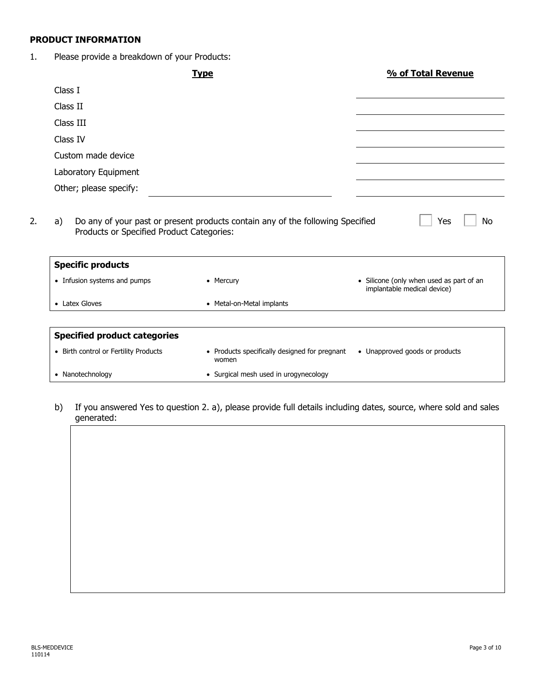### **PRODUCT INFORMATION**

1. Please provide a breakdown of your Products:

|                                     | <b>Type</b>               | % of Total Revenue                                                      |
|-------------------------------------|---------------------------|-------------------------------------------------------------------------|
| Class I                             |                           |                                                                         |
| Class II                            |                           |                                                                         |
| Class III                           |                           |                                                                         |
| Class IV                            |                           |                                                                         |
| Custom made device                  |                           |                                                                         |
| Laboratory Equipment                |                           |                                                                         |
| Other; please specify:              |                           |                                                                         |
| <b>Specific products</b>            |                           |                                                                         |
|                                     |                           |                                                                         |
| • Infusion systems and pumps        | • Mercury                 | • Silicone (only when used as part of an<br>implantable medical device) |
| • Latex Gloves                      | • Metal-on-Metal implants |                                                                         |
|                                     |                           |                                                                         |
| <b>Specified product categories</b> |                           |                                                                         |

- 
- Nanotechnology **•** Surgical mesh used in urogynecology
- b) If you answered Yes to question 2. a), please provide full details including dates, source, where sold and sales generated: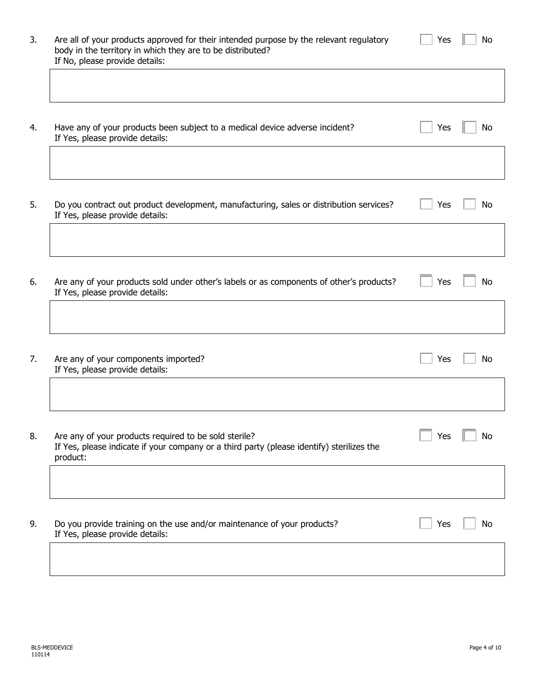| Have any of your products been subject to a medical device adverse incident?<br>If Yes, please provide details:                                                | Yes |  |
|----------------------------------------------------------------------------------------------------------------------------------------------------------------|-----|--|
|                                                                                                                                                                |     |  |
| Do you contract out product development, manufacturing, sales or distribution services?<br>If Yes, please provide details:                                     | Yes |  |
|                                                                                                                                                                |     |  |
| Are any of your products sold under other's labels or as components of other's products?<br>If Yes, please provide details:                                    | Yes |  |
|                                                                                                                                                                |     |  |
| Are any of your components imported?<br>If Yes, please provide details:                                                                                        | Yes |  |
|                                                                                                                                                                |     |  |
| Are any of your products required to be sold sterile?<br>If Yes, please indicate if your company or a third party (please identify) sterilizes the<br>product: | Yes |  |
|                                                                                                                                                                |     |  |
| Do you provide training on the use and/or maintenance of your products?                                                                                        | Yes |  |

If No, please provide details:

 $\Gamma$ 

Yes  $\boxed{\phantom{1}}$  No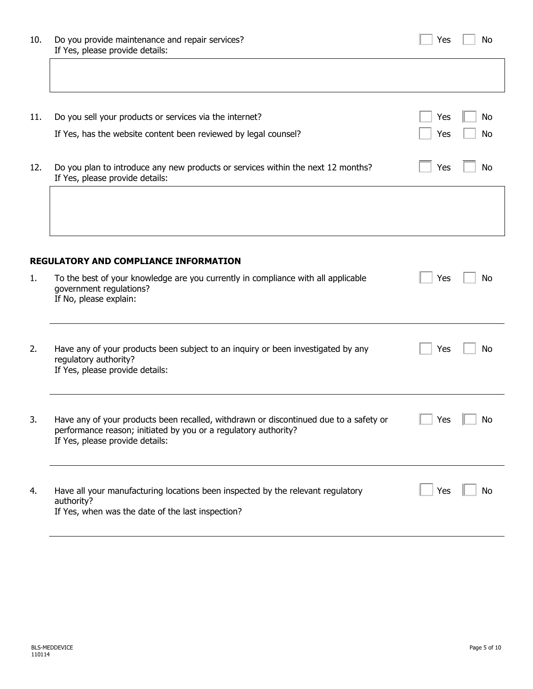| 10. | Do you provide maintenance and repair services?<br>If Yes, please provide details:                                                                                                          | Yes | No |
|-----|---------------------------------------------------------------------------------------------------------------------------------------------------------------------------------------------|-----|----|
|     |                                                                                                                                                                                             |     |    |
| 11. | Do you sell your products or services via the internet?                                                                                                                                     | Yes | No |
|     | If Yes, has the website content been reviewed by legal counsel?                                                                                                                             | Yes | No |
| 12. | Do you plan to introduce any new products or services within the next 12 months?<br>If Yes, please provide details:                                                                         | Yes | No |
|     |                                                                                                                                                                                             |     |    |
|     | <b>REGULATORY AND COMPLIANCE INFORMATION</b>                                                                                                                                                |     |    |
| 1.  | To the best of your knowledge are you currently in compliance with all applicable<br>government regulations?<br>If No, please explain:                                                      | Yes | No |
| 2.  | Have any of your products been subject to an inquiry or been investigated by any<br>regulatory authority?<br>If Yes, please provide details:                                                | Yes | No |
| 3.  | Have any of your products been recalled, withdrawn or discontinued due to a safety or<br>performance reason; initiated by you or a regulatory authority?<br>If Yes, please provide details: | Yes | No |
| 4.  | Have all your manufacturing locations been inspected by the relevant regulatory<br>authority?<br>If Yes, when was the date of the last inspection?                                          | Yes | No |

÷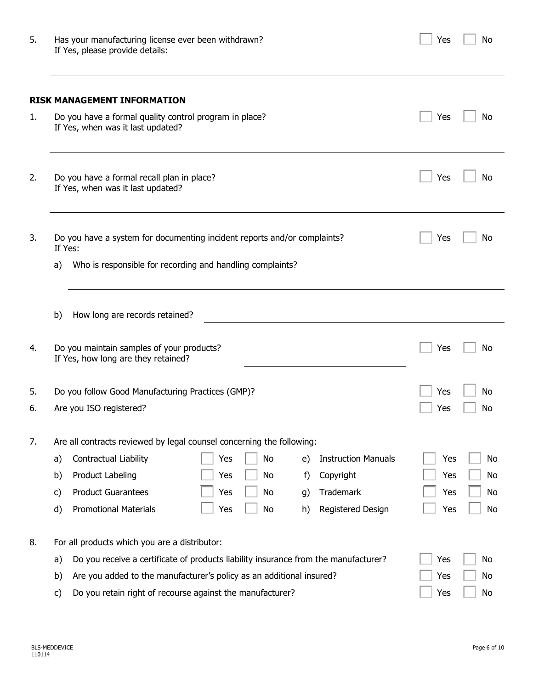| Yes | N٥ |
|-----|----|
|     |    |

| 5. | Has your manufacturing license ever been withdrawn? |
|----|-----------------------------------------------------|
|    | If Yes, please provide details:                     |

|         | <b>RISK MANAGEMENT INFORMATION</b><br>Do you have a formal quality control program in place?<br>If Yes, when was it last updated? |     |    |    |                            | Yes | No |
|---------|-----------------------------------------------------------------------------------------------------------------------------------|-----|----|----|----------------------------|-----|----|
|         | Do you have a formal recall plan in place?<br>If Yes, when was it last updated?                                                   |     |    |    |                            | Yes | No |
| If Yes: | Do you have a system for documenting incident reports and/or complaints?                                                          |     |    |    |                            | Yes | No |
| a)      | Who is responsible for recording and handling complaints?                                                                         |     |    |    |                            |     |    |
| b)      | How long are records retained?                                                                                                    |     |    |    |                            |     |    |
|         | Do you maintain samples of your products?<br>If Yes, how long are they retained?                                                  |     |    |    |                            | Yes | No |
|         | Do you follow Good Manufacturing Practices (GMP)?                                                                                 |     |    |    |                            | Yes | No |
|         | Are you ISO registered?                                                                                                           |     |    |    |                            | Yes | No |
|         | Are all contracts reviewed by legal counsel concerning the following:                                                             |     |    |    |                            |     |    |
| a)      | Contractual Liability                                                                                                             | Yes | No | e) | <b>Instruction Manuals</b> | Yes |    |
| b)      | Product Labeling                                                                                                                  | Yes | No | f) | Copyright                  | Yes |    |
| c)      | <b>Product Guarantees</b>                                                                                                         | Yes | No | g) | Trademark                  | Yes |    |
| d)      | <b>Promotional Materials</b>                                                                                                      | Yes | No | h) | Registered Design          | Yes |    |
|         | For all products which you are a distributor:                                                                                     |     |    |    |                            |     |    |
| a)      | Do you receive a certificate of products liability insurance from the manufacturer?                                               |     |    |    |                            | Yes | No |
| b)      | Are you added to the manufacturer's policy as an additional insured?                                                              |     |    |    | Yes                        | No  |    |
| c)      | Do you retain right of recourse against the manufacturer?                                                                         |     |    |    |                            | Yes | No |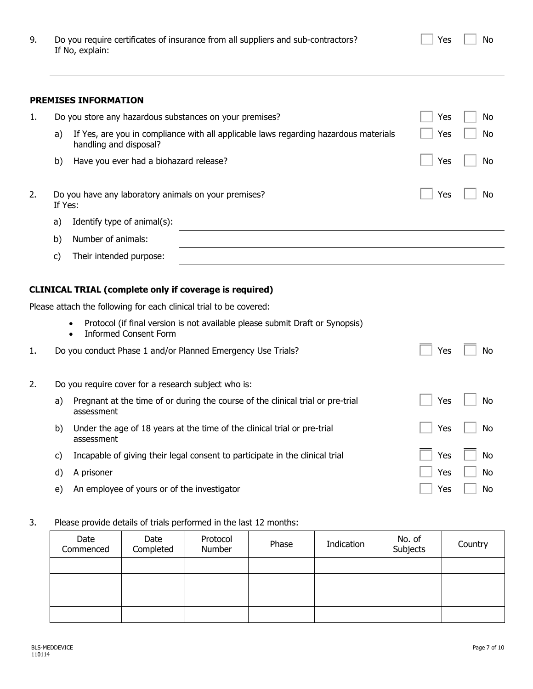| Do you require certificates of insurance from all suppliers and sub-contractors? |
|----------------------------------------------------------------------------------|
| If No, explain:                                                                  |

Yes  $\Box$  No

#### **PREMISES INFORMATION**

| 1. | Do you store any hazardous substances on your premises?                                                              | No<br>Yes |
|----|----------------------------------------------------------------------------------------------------------------------|-----------|
|    | If Yes, are you in compliance with all applicable laws regarding hazardous materials<br>a)<br>handling and disposal? | Yes<br>No |
|    | b)<br>Have you ever had a biohazard release?                                                                         | Yes<br>No |
| 2. | Do you have any laboratory animals on your premises?<br>If Yes:                                                      | Yes<br>No |
|    | Identify type of animal(s):<br>a)                                                                                    |           |
|    | Number of animals:<br>b)                                                                                             |           |
|    | Their intended purpose:<br>C)                                                                                        |           |

### **CLINICAL TRIAL (complete only if coverage is required)**

Please attach the following for each clinical trial to be covered:

• Protocol (if final version is not available please submit Draft or Synopsis)

|    |    | <b>Informed Consent Form</b><br>$\bullet$                                                     |     |     |
|----|----|-----------------------------------------------------------------------------------------------|-----|-----|
| 1. |    | Do you conduct Phase 1 and/or Planned Emergency Use Trials?                                   | Yes | No. |
| 2. |    | Do you require cover for a research subject who is:                                           |     |     |
|    | a) | Pregnant at the time of or during the course of the clinical trial or pre-trial<br>assessment | Yes | No. |
|    | b) | Under the age of 18 years at the time of the clinical trial or pre-trial<br>assessment        | Yes | No. |
|    | C) | Incapable of giving their legal consent to participate in the clinical trial                  | Yes | No. |
|    | d) | A prisoner                                                                                    | Yes | No. |
|    | e) | An employee of yours or of the investigator                                                   | Yes | No. |

3. Please provide details of trials performed in the last 12 months:

| Date<br>Commenced | Date<br>Completed | Protocol<br>Number | Phase | Indication | No. of<br>Subjects | Country |
|-------------------|-------------------|--------------------|-------|------------|--------------------|---------|
|                   |                   |                    |       |            |                    |         |
|                   |                   |                    |       |            |                    |         |
|                   |                   |                    |       |            |                    |         |
|                   |                   |                    |       |            |                    |         |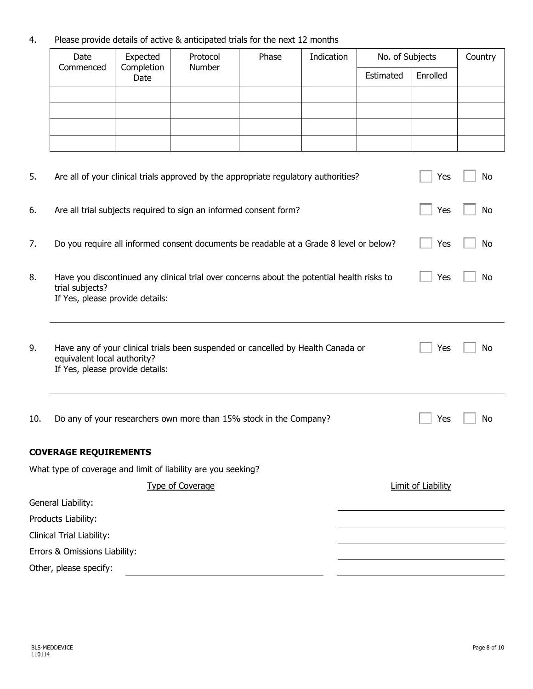## 4. Please provide details of active & anticipated trials for the next 12 months

| Date<br>Commenced | Expected<br>Completion<br>Date | Protocol<br>Number | Phase | Indication | No. of Subjects |          | Country |
|-------------------|--------------------------------|--------------------|-------|------------|-----------------|----------|---------|
|                   |                                |                    |       |            | Estimated       | Enrolled |         |
|                   |                                |                    |       |            |                 |          |         |
|                   |                                |                    |       |            |                 |          |         |
|                   |                                |                    |       |            |                 |          |         |
|                   |                                |                    |       |            |                 |          |         |

| 5.                        | Are all of your clinical trials approved by the appropriate regulatory authorities?                                                                | Yes                       | No        |  |  |  |  |
|---------------------------|----------------------------------------------------------------------------------------------------------------------------------------------------|---------------------------|-----------|--|--|--|--|
| 6.                        | Are all trial subjects required to sign an informed consent form?                                                                                  | Yes                       | No        |  |  |  |  |
| 7.                        | Do you require all informed consent documents be readable at a Grade 8 level or below?                                                             | Yes                       | <b>No</b> |  |  |  |  |
| 8.                        | Have you discontinued any clinical trial over concerns about the potential health risks to<br>trial subjects?<br>If Yes, please provide details:   | Yes                       | No        |  |  |  |  |
| 9.                        | Have any of your clinical trials been suspended or cancelled by Health Canada or<br>equivalent local authority?<br>If Yes, please provide details: | Yes                       | No        |  |  |  |  |
| 10.                       | Do any of your researchers own more than 15% stock in the Company?                                                                                 | Yes                       | No        |  |  |  |  |
|                           | <b>COVERAGE REQUIREMENTS</b>                                                                                                                       |                           |           |  |  |  |  |
|                           | What type of coverage and limit of liability are you seeking?                                                                                      |                           |           |  |  |  |  |
|                           | <b>Type of Coverage</b>                                                                                                                            | <b>Limit of Liability</b> |           |  |  |  |  |
|                           | General Liability:                                                                                                                                 |                           |           |  |  |  |  |
| Products Liability:       |                                                                                                                                                    |                           |           |  |  |  |  |
| Clinical Trial Liability: |                                                                                                                                                    |                           |           |  |  |  |  |
|                           | Errors & Omissions Liability:                                                                                                                      |                           |           |  |  |  |  |
|                           | Other, please specify:                                                                                                                             |                           |           |  |  |  |  |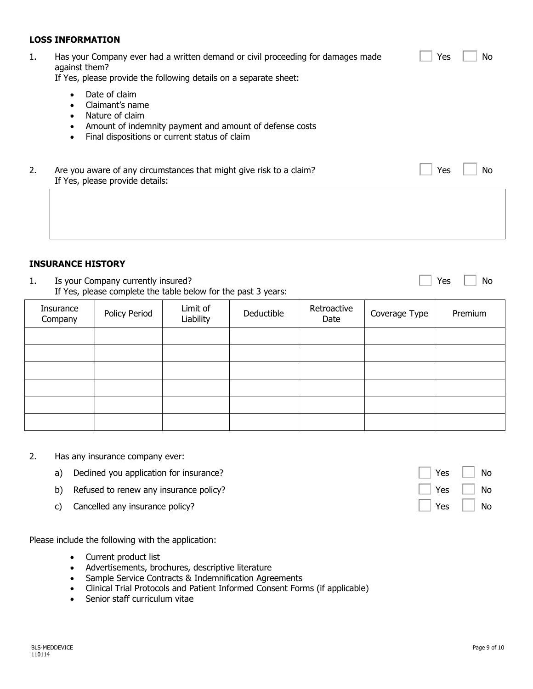#### **LOSS INFORMATION**

| 1. | Has your Company ever had a written demand or civil proceeding for damages made<br>against them?<br>If Yes, please provide the following details on a separate sheet:                                                            | No<br>Yes |
|----|----------------------------------------------------------------------------------------------------------------------------------------------------------------------------------------------------------------------------------|-----------|
|    | Date of claim<br>$\bullet$<br>Claimant's name<br>$\bullet$<br>Nature of claim<br>$\bullet$<br>Amount of indemnity payment and amount of defense costs<br>$\bullet$<br>Final dispositions or current status of claim<br>$\bullet$ |           |
| 2. | Are you aware of any circumstances that might give risk to a claim?<br>If Yes, please provide details:                                                                                                                           | Yes<br>No |
|    |                                                                                                                                                                                                                                  |           |

#### **INSURANCE HISTORY**

1. Is your Company currently insured? If Yes, please complete the table below for the past 3 years:

| Insurance<br>Company | Policy Period | Limit of<br>Liability | Deductible | Retroactive<br>Date | Coverage Type | Premium |
|----------------------|---------------|-----------------------|------------|---------------------|---------------|---------|
|                      |               |                       |            |                     |               |         |
|                      |               |                       |            |                     |               |         |
|                      |               |                       |            |                     |               |         |
|                      |               |                       |            |                     |               |         |
|                      |               |                       |            |                     |               |         |
|                      |               |                       |            |                     |               |         |

- 2. Has any insurance company ever:
	- a) Declined you application for insurance? No was also seen to the set of the set of the No was not the No was
	- b) Refused to renew any insurance policy? No was also asset of the No was not all the No was No Wes No Wes No Wes No Wes No Wes No Wes No Wes No Wes No Wes No Wes No Wes No Wes No Wes No Wes No Wes No Wes No Wes No Wes No
	- c) Cancelled any insurance policy?

Please include the following with the application:

- Current product list
- Advertisements, brochures, descriptive literature
- Sample Service Contracts & Indemnification Agreements
- Clinical Trial Protocols and Patient Informed Consent Forms (if applicable)
- Senior staff curriculum vitae

 $Yes \mid No$